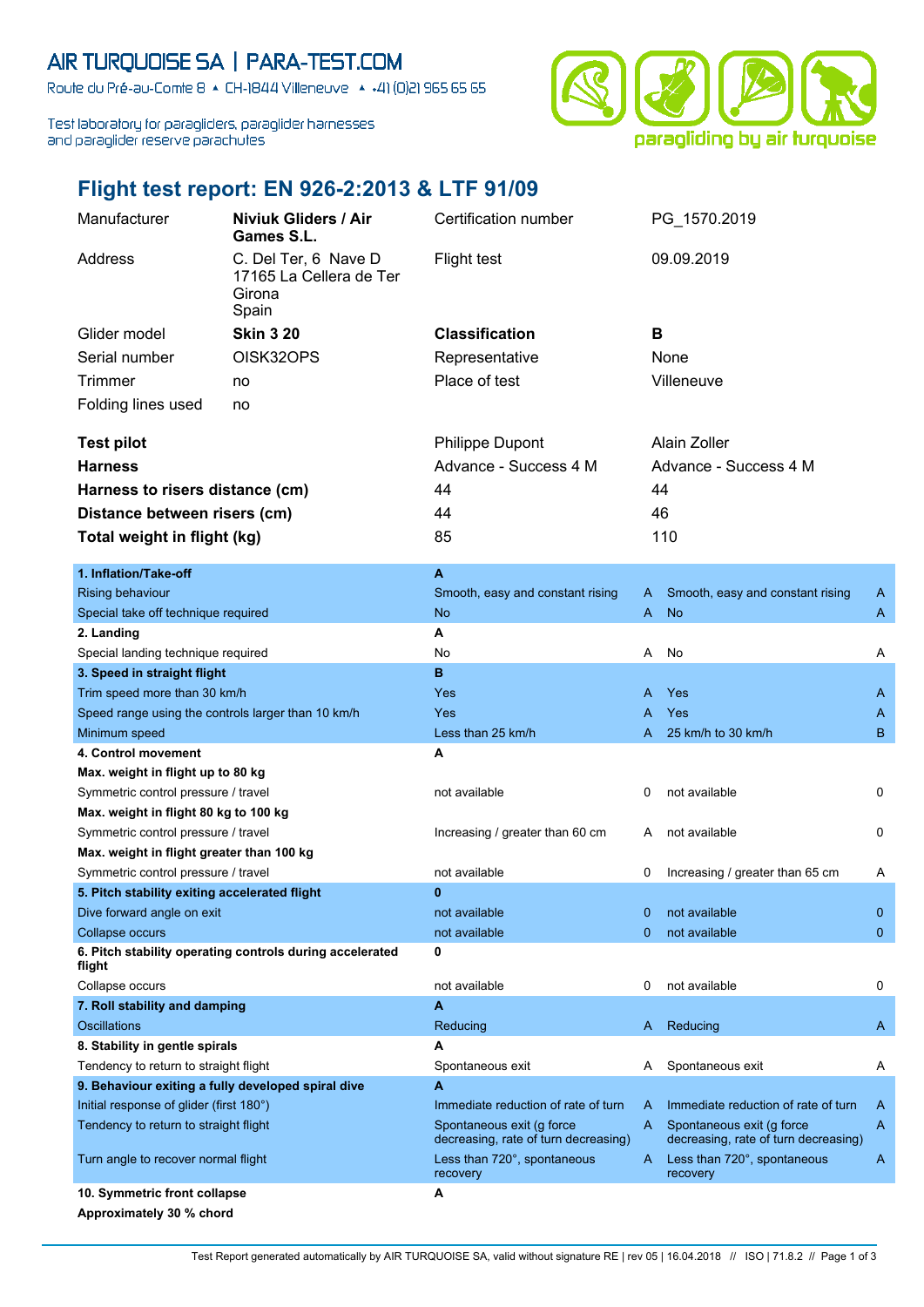## AIR TURQUOISE SA | PARA-TEST.COM

Route du Pré-au-Comte 8 & CH-1844 Villeneuve | 4 +41 (0)21 965 65 65

Test laboratory for paragliders, paraglider harnesses and paraglider reserve parachutes



## **Flight test report: EN 926-2:2013 & LTF 91/09**

| Manufacturer<br><b>Niviuk Gliders / Air</b><br>Games S.L. |                                                                    | Certification number                                              |                       | PG_1570.2019                                                      |              |
|-----------------------------------------------------------|--------------------------------------------------------------------|-------------------------------------------------------------------|-----------------------|-------------------------------------------------------------------|--------------|
| Address                                                   | C. Del Ter, 6 Nave D<br>17165 La Cellera de Ter<br>Girona<br>Spain | <b>Flight test</b>                                                |                       | 09.09.2019                                                        |              |
| Glider model                                              | <b>Skin 3 20</b>                                                   | <b>Classification</b>                                             | в                     |                                                                   |              |
| Serial number                                             | OISK32OPS                                                          | Representative                                                    |                       | None                                                              |              |
|                                                           |                                                                    | Place of test                                                     |                       | Villeneuve                                                        |              |
| <b>Trimmer</b><br>no                                      |                                                                    |                                                                   |                       |                                                                   |              |
| Folding lines used                                        | no                                                                 |                                                                   |                       |                                                                   |              |
| <b>Test pilot</b>                                         |                                                                    | <b>Philippe Dupont</b>                                            |                       | Alain Zoller                                                      |              |
| <b>Harness</b>                                            |                                                                    | Advance - Success 4 M                                             | Advance - Success 4 M |                                                                   |              |
|                                                           |                                                                    | 44                                                                | 44                    |                                                                   |              |
| Harness to risers distance (cm)                           |                                                                    |                                                                   |                       |                                                                   |              |
| Distance between risers (cm)                              |                                                                    | 44                                                                | 46                    |                                                                   |              |
| Total weight in flight (kg)                               |                                                                    | 85                                                                |                       | 110                                                               |              |
| 1. Inflation/Take-off                                     |                                                                    | A                                                                 |                       |                                                                   |              |
| Rising behaviour                                          |                                                                    | Smooth, easy and constant rising                                  | A                     | Smooth, easy and constant rising                                  | A            |
| Special take off technique required                       |                                                                    | <b>No</b>                                                         | A                     | <b>No</b>                                                         | A            |
| 2. Landing                                                |                                                                    | A                                                                 |                       |                                                                   |              |
| Special landing technique required                        |                                                                    | No                                                                | A                     | No                                                                | Α            |
| 3. Speed in straight flight                               |                                                                    | B                                                                 |                       |                                                                   |              |
| Trim speed more than 30 km/h                              |                                                                    | Yes                                                               | A                     | Yes                                                               | A            |
| Speed range using the controls larger than 10 km/h        |                                                                    | Yes                                                               | A                     | Yes                                                               | A            |
| Minimum speed                                             |                                                                    | Less than 25 km/h                                                 | A                     | 25 km/h to 30 km/h                                                | B            |
| 4. Control movement                                       |                                                                    | A                                                                 |                       |                                                                   |              |
| Max. weight in flight up to 80 kg                         |                                                                    |                                                                   |                       |                                                                   |              |
| Symmetric control pressure / travel                       |                                                                    | not available                                                     | 0                     | not available                                                     | 0            |
| Max. weight in flight 80 kg to 100 kg                     |                                                                    |                                                                   |                       |                                                                   |              |
| Symmetric control pressure / travel                       |                                                                    | Increasing / greater than 60 cm                                   | A                     | not available                                                     | 0            |
| Max. weight in flight greater than 100 kg                 |                                                                    |                                                                   |                       |                                                                   |              |
| Symmetric control pressure / travel                       |                                                                    | not available                                                     | 0                     | Increasing / greater than 65 cm                                   | A            |
| 5. Pitch stability exiting accelerated flight             |                                                                    | $\bf{0}$                                                          |                       |                                                                   |              |
| Dive forward angle on exit                                |                                                                    | not available                                                     | 0                     | not available                                                     | $\mathbf{0}$ |
| Collapse occurs                                           |                                                                    | not available                                                     | $\Omega$              | not available                                                     | $\mathbf{0}$ |
| flight                                                    | 6. Pitch stability operating controls during accelerated           | 0                                                                 |                       |                                                                   |              |
| Collapse occurs                                           |                                                                    | not available                                                     | 0                     | not available                                                     | 0            |
| 7. Roll stability and damping                             |                                                                    | A                                                                 |                       |                                                                   |              |
| <b>Oscillations</b>                                       |                                                                    | Reducing                                                          | A.                    | Reducing                                                          | A            |
| 8. Stability in gentle spirals                            |                                                                    | A                                                                 |                       |                                                                   |              |
| Tendency to return to straight flight                     |                                                                    | Spontaneous exit                                                  | A                     | Spontaneous exit                                                  | A            |
| 9. Behaviour exiting a fully developed spiral dive        |                                                                    | A                                                                 |                       |                                                                   |              |
| Initial response of glider (first 180°)                   |                                                                    | Immediate reduction of rate of turn                               | A                     | Immediate reduction of rate of turn                               | A            |
| Tendency to return to straight flight                     |                                                                    | Spontaneous exit (g force<br>decreasing, rate of turn decreasing) | A                     | Spontaneous exit (g force<br>decreasing, rate of turn decreasing) | A            |
| Turn angle to recover normal flight                       |                                                                    | Less than 720°, spontaneous<br>recovery                           | A                     | Less than 720°, spontaneous<br>recovery                           | A            |
| 10. Symmetric front collapse                              |                                                                    | A                                                                 |                       |                                                                   |              |
| Approximately 30 % chord                                  |                                                                    |                                                                   |                       |                                                                   |              |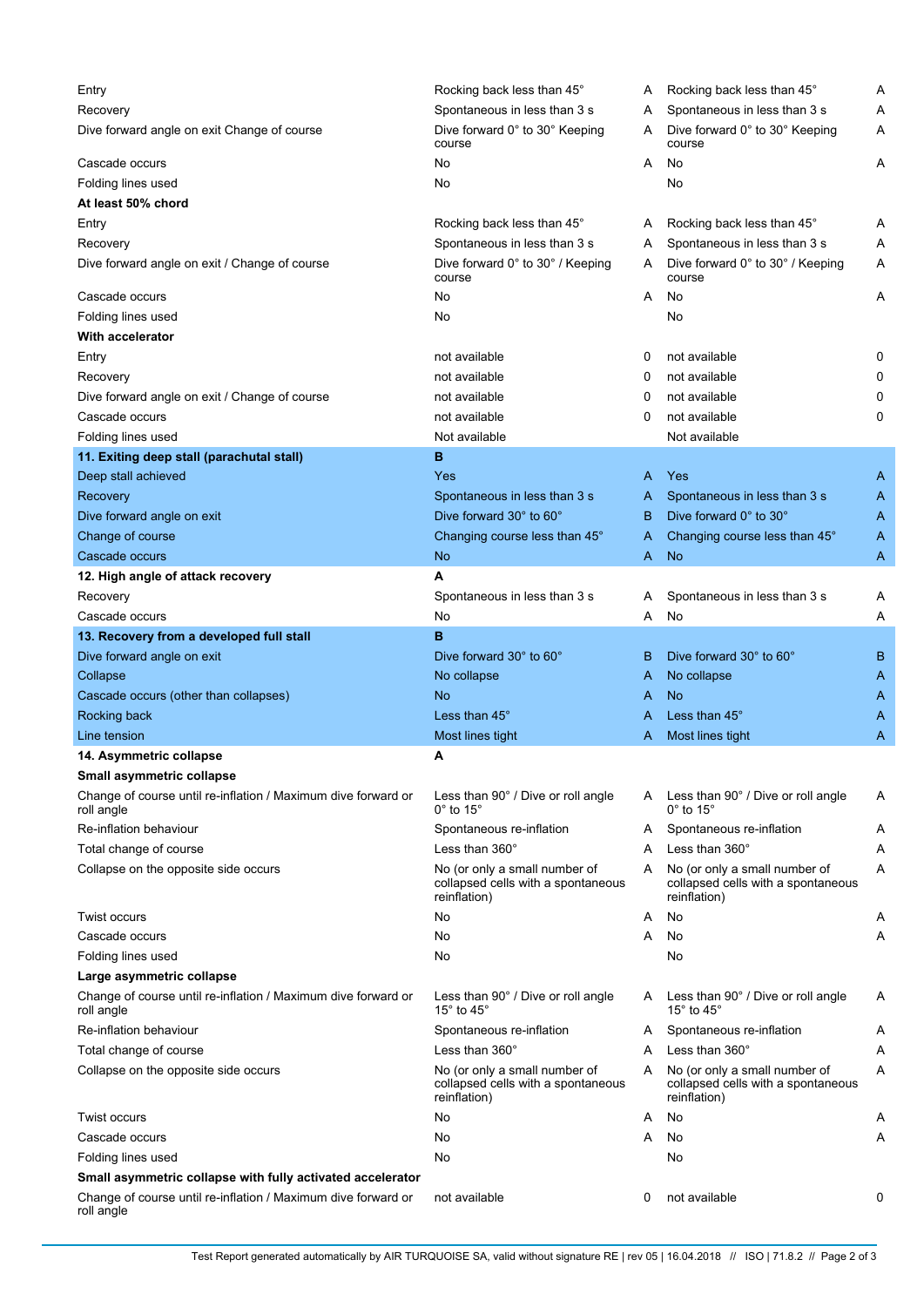| Entry                                                                       | Rocking back less than 45°                                                          | A | Rocking back less than 45°                                                          | Α |
|-----------------------------------------------------------------------------|-------------------------------------------------------------------------------------|---|-------------------------------------------------------------------------------------|---|
| Recovery                                                                    | Spontaneous in less than 3 s                                                        | A | Spontaneous in less than 3 s                                                        | Α |
| Dive forward angle on exit Change of course                                 | Dive forward 0° to 30° Keeping<br>course                                            | A | Dive forward 0° to 30° Keeping<br>course                                            | Α |
| Cascade occurs                                                              | No                                                                                  | A | No                                                                                  | A |
| Folding lines used                                                          | No                                                                                  |   | No                                                                                  |   |
| At least 50% chord                                                          |                                                                                     |   |                                                                                     |   |
| Entry                                                                       | Rocking back less than 45°                                                          | A | Rocking back less than 45°                                                          | A |
| Recovery                                                                    | Spontaneous in less than 3 s                                                        | A | Spontaneous in less than 3 s                                                        | Α |
| Dive forward angle on exit / Change of course                               | Dive forward 0° to 30° / Keeping<br>course                                          | A | Dive forward 0° to 30° / Keeping<br>course                                          | Α |
| Cascade occurs                                                              | No                                                                                  | A | No                                                                                  | Α |
| Folding lines used                                                          | No                                                                                  |   | No                                                                                  |   |
| <b>With accelerator</b>                                                     |                                                                                     |   |                                                                                     |   |
|                                                                             |                                                                                     |   |                                                                                     |   |
| Entry                                                                       | not available                                                                       | 0 | not available                                                                       | 0 |
| Recovery                                                                    | not available                                                                       | 0 | not available                                                                       | 0 |
| Dive forward angle on exit / Change of course                               | not available                                                                       | 0 | not available                                                                       | 0 |
| Cascade occurs                                                              | not available                                                                       | 0 | not available                                                                       | 0 |
| Folding lines used                                                          | Not available                                                                       |   | Not available                                                                       |   |
| 11. Exiting deep stall (parachutal stall)                                   | в                                                                                   |   |                                                                                     |   |
| Deep stall achieved                                                         | Yes                                                                                 | A | Yes                                                                                 | A |
| Recovery                                                                    | Spontaneous in less than 3 s                                                        | A | Spontaneous in less than 3 s                                                        | A |
| Dive forward angle on exit                                                  | Dive forward 30° to 60°                                                             | B | Dive forward 0° to 30°                                                              | A |
| Change of course                                                            | Changing course less than 45°                                                       | A | Changing course less than 45°                                                       | A |
| Cascade occurs                                                              | No                                                                                  | A | <b>No</b>                                                                           | A |
| 12. High angle of attack recovery                                           | А                                                                                   |   |                                                                                     |   |
| Recovery                                                                    | Spontaneous in less than 3 s                                                        | A | Spontaneous in less than 3 s                                                        | A |
| Cascade occurs                                                              | No                                                                                  | A | No                                                                                  | Α |
| 13. Recovery from a developed full stall                                    | B                                                                                   |   |                                                                                     |   |
| Dive forward angle on exit                                                  | Dive forward 30° to 60°                                                             | B | Dive forward 30° to 60°                                                             | B |
| Collapse                                                                    | No collapse                                                                         | A | No collapse                                                                         | A |
| Cascade occurs (other than collapses)                                       | No                                                                                  | A | No                                                                                  | A |
| Rocking back                                                                | Less than 45°                                                                       | A | Less than 45°                                                                       | A |
| Line tension                                                                | Most lines tight                                                                    | A | Most lines tight                                                                    | Α |
| 14. Asymmetric collapse                                                     | A                                                                                   |   |                                                                                     |   |
| Small asymmetric collapse                                                   |                                                                                     |   |                                                                                     |   |
| Change of course until re-inflation / Maximum dive forward or<br>roll angle | Less than 90° / Dive or roll angle<br>$0^\circ$ to 15 $^\circ$                      | A | Less than 90° / Dive or roll angle<br>$0^{\circ}$ to 15 $^{\circ}$                  | Α |
| Re-inflation behaviour                                                      | Spontaneous re-inflation                                                            | A | Spontaneous re-inflation                                                            | Α |
| Total change of course                                                      | Less than 360°                                                                      | A | Less than 360°                                                                      | Α |
| Collapse on the opposite side occurs                                        | No (or only a small number of                                                       | A | No (or only a small number of                                                       | Α |
|                                                                             | collapsed cells with a spontaneous<br>reinflation)                                  |   | collapsed cells with a spontaneous<br>reinflation)                                  |   |
| <b>Twist occurs</b>                                                         | No                                                                                  | A | No                                                                                  | A |
| Cascade occurs                                                              | No                                                                                  | A | No                                                                                  | Α |
| Folding lines used                                                          | No                                                                                  |   | No                                                                                  |   |
| Large asymmetric collapse                                                   |                                                                                     |   |                                                                                     |   |
| Change of course until re-inflation / Maximum dive forward or<br>roll angle | Less than 90° / Dive or roll angle<br>15 $^{\circ}$ to 45 $^{\circ}$                | A | Less than 90° / Dive or roll angle<br>15° to 45°                                    | Α |
| Re-inflation behaviour                                                      | Spontaneous re-inflation                                                            | A | Spontaneous re-inflation                                                            | Α |
| Total change of course                                                      | Less than $360^\circ$                                                               | A | Less than 360°                                                                      | Α |
| Collapse on the opposite side occurs                                        | No (or only a small number of<br>collapsed cells with a spontaneous<br>reinflation) | A | No (or only a small number of<br>collapsed cells with a spontaneous<br>reinflation) | Α |
| Twist occurs                                                                | No                                                                                  | A | No                                                                                  | Α |
| Cascade occurs                                                              | No                                                                                  | A | No                                                                                  | Α |
| Folding lines used                                                          | No                                                                                  |   | No                                                                                  |   |
| Small asymmetric collapse with fully activated accelerator                  |                                                                                     |   |                                                                                     |   |
| Change of course until re-inflation / Maximum dive forward or<br>roll angle | not available                                                                       | 0 | not available                                                                       | 0 |